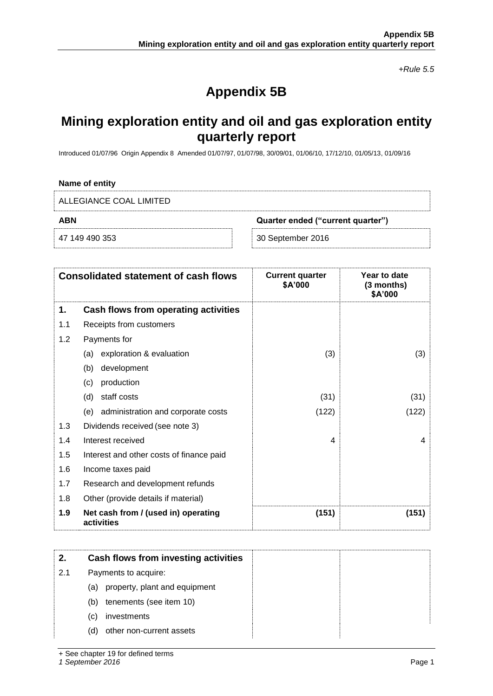*+Rule 5.5*

# **Appendix 5B**

# **Mining exploration entity and oil and gas exploration entity quarterly report**

Introduced 01/07/96 Origin Appendix 8 Amended 01/07/97, 01/07/98, 30/09/01, 01/06/10, 17/12/10, 01/05/13, 01/09/16

#### **Name of entity**

| ALLEGIANCE COAL LIMITED |                                   |
|-------------------------|-----------------------------------|
| ABN                     | Quarter ended ("current quarter") |
| 47 149 490 353          | 30 September 2016                 |

|     | <b>Consolidated statement of cash flows</b>       | <b>Current quarter</b><br>\$A'000 | Year to date<br>(3 months)<br>\$A'000 |
|-----|---------------------------------------------------|-----------------------------------|---------------------------------------|
| 1.  | Cash flows from operating activities              |                                   |                                       |
| 1.1 | Receipts from customers                           |                                   |                                       |
| 1.2 | Payments for                                      |                                   |                                       |
|     | exploration & evaluation<br>(a)                   | (3)                               | (3)                                   |
|     | development<br>(b)                                |                                   |                                       |
|     | production<br>(c)                                 |                                   |                                       |
|     | staff costs<br>(d)                                | (31)                              | (31)                                  |
|     | (e)<br>administration and corporate costs         | (122)                             | (122)                                 |
| 1.3 | Dividends received (see note 3)                   |                                   |                                       |
| 1.4 | Interest received                                 | $\overline{4}$                    | 4                                     |
| 1.5 | Interest and other costs of finance paid          |                                   |                                       |
| 1.6 | Income taxes paid                                 |                                   |                                       |
| 1.7 | Research and development refunds                  |                                   |                                       |
| 1.8 | Other (provide details if material)               |                                   |                                       |
| 1.9 | Net cash from / (used in) operating<br>activities | (151)                             | (151)                                 |

| 2.  | Cash flows from investing activities |  |
|-----|--------------------------------------|--|
| 2.1 | Payments to acquire:                 |  |
|     | property, plant and equipment<br>(a) |  |
|     | tenements (see item 10)<br>(b)       |  |
|     | investments<br>(C)                   |  |
|     | other non-current assets<br>(d)      |  |

+ See chapter 19 for defined terms

*1 September 2016* Page 1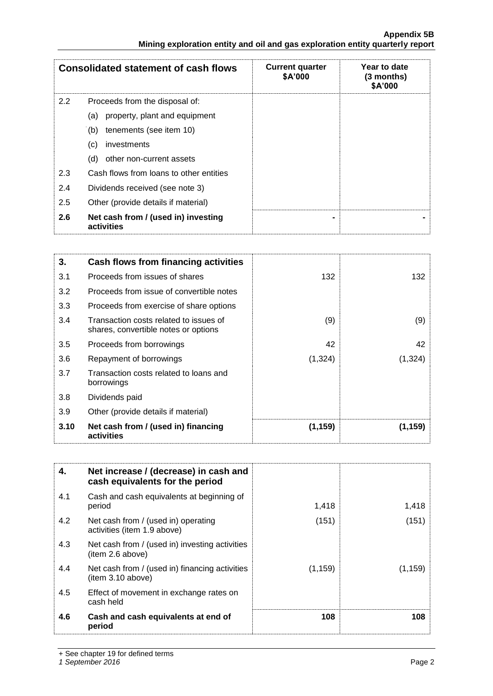| <b>Consolidated statement of cash flows</b> |                                                   | <b>Current quarter</b><br>\$A'000 | Year to date<br>$(3$ months)<br>\$A'000 |
|---------------------------------------------|---------------------------------------------------|-----------------------------------|-----------------------------------------|
| 2.2                                         | Proceeds from the disposal of:                    |                                   |                                         |
|                                             | property, plant and equipment<br>(a)              |                                   |                                         |
|                                             | tenements (see item 10)<br>(b)                    |                                   |                                         |
|                                             | investments<br>(c)                                |                                   |                                         |
|                                             | other non-current assets<br>(d)                   |                                   |                                         |
| 2.3                                         | Cash flows from loans to other entities           |                                   |                                         |
| 2.4                                         | Dividends received (see note 3)                   |                                   |                                         |
| 2.5                                         | Other (provide details if material)               |                                   |                                         |
| 2.6                                         | Net cash from / (used in) investing<br>activities |                                   |                                         |

| 3.   | Cash flows from financing activities                                           |          |         |
|------|--------------------------------------------------------------------------------|----------|---------|
| 3.1  | Proceeds from issues of shares                                                 | 132      | 132     |
| 3.2  | Proceeds from issue of convertible notes                                       |          |         |
| 3.3  | Proceeds from exercise of share options                                        |          |         |
| 3.4  | Transaction costs related to issues of<br>shares, convertible notes or options | (9)      | (9)     |
| 3.5  | Proceeds from borrowings                                                       | 42       | 42      |
| 3.6  | Repayment of borrowings                                                        | (1, 324) | (1,324) |
| 3.7  | Transaction costs related to loans and<br>borrowings                           |          |         |
| 3.8  | Dividends paid                                                                 |          |         |
| 3.9  | Other (provide details if material)                                            |          |         |
| 3.10 | Net cash from / (used in) financing<br>activities                              | (1, 159) | (1,159) |

| 4.  | Net increase / (decrease) in cash and<br>cash equivalents for the period |          |          |
|-----|--------------------------------------------------------------------------|----------|----------|
| 4.1 | Cash and cash equivalents at beginning of<br>period                      | 1,418    | 1,418    |
| 4.2 | Net cash from / (used in) operating<br>activities (item 1.9 above)       | (151)    | (151)    |
| 4.3 | Net cash from / (used in) investing activities<br>(item 2.6 above)       |          |          |
| 4.4 | Net cash from / (used in) financing activities<br>(item 3.10 above)      | (1, 159) | (1, 159) |
| 4.5 | Effect of movement in exchange rates on<br>cash held                     |          |          |
| 4.6 | Cash and cash equivalents at end of<br>period                            | 108      | 108      |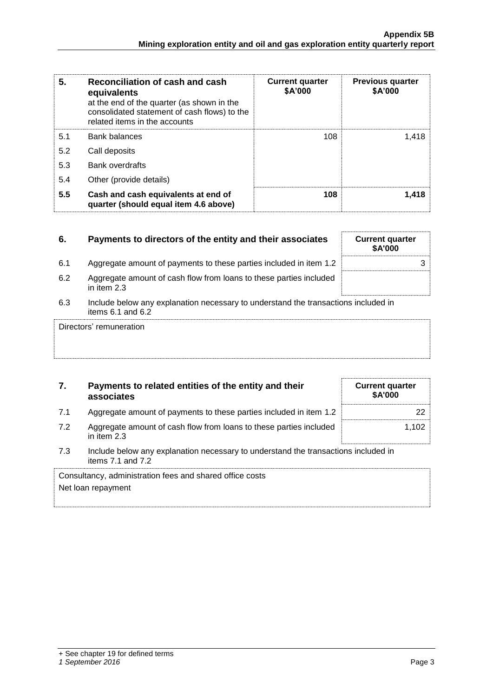| 5.  | Reconciliation of cash and cash<br>equivalents<br>at the end of the quarter (as shown in the<br>consolidated statement of cash flows) to the<br>related items in the accounts | <b>Current quarter</b><br>\$A'000 | <b>Previous quarter</b><br>\$A'000 |
|-----|-------------------------------------------------------------------------------------------------------------------------------------------------------------------------------|-----------------------------------|------------------------------------|
| 5.1 | <b>Bank balances</b>                                                                                                                                                          | 108                               | 1.418                              |
| 5.2 | Call deposits                                                                                                                                                                 |                                   |                                    |
| 5.3 | <b>Bank overdrafts</b>                                                                                                                                                        |                                   |                                    |
| 5.4 | Other (provide details)                                                                                                                                                       |                                   |                                    |
| 5.5 | Cash and cash equivalents at end of<br>quarter (should equal item 4.6 above)                                                                                                  | 108                               | 1.418                              |

| 6.  | Payments to directors of the entity and their associates                                                    | <b>Current quarter</b><br><b>\$A'000</b> |  |  |
|-----|-------------------------------------------------------------------------------------------------------------|------------------------------------------|--|--|
| 6.1 | Aggregate amount of payments to these parties included in item 1.2                                          |                                          |  |  |
| 6.2 | Aggregate amount of cash flow from loans to these parties included<br>in item 2.3                           |                                          |  |  |
| 6.3 | Include below any explanation necessary to understand the transactions included in<br>items $6.1$ and $6.2$ |                                          |  |  |
|     | Directors' remuneration                                                                                     |                                          |  |  |

## **7. Payments to related entities of the entity and their associates**

- 7.1 Aggregate amount of payments to these parties included in item 1.2  $\vert$
- 7.2 Aggregate amount of cash flow from loans to these parties included in item 2.3
	- 1,102
- 7.3 Include below any explanation necessary to understand the transactions included in items 7.1 and 7.2

Consultancy, administration fees and shared office costs Net loan repayment

**Current quarter \$A'000**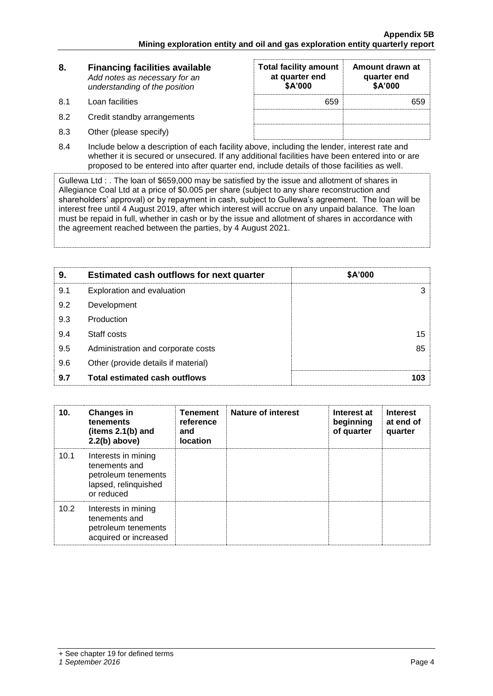| 8.  | <b>Financing facilities available</b><br>Add notes as necessary for an<br>understanding of the position | <b>Total facility amount</b><br>at quarter end<br>\$A'000 | Amount drawn at<br>quarter end<br>\$A'000 |
|-----|---------------------------------------------------------------------------------------------------------|-----------------------------------------------------------|-------------------------------------------|
| 8.1 | Loan facilities                                                                                         | 659                                                       | 659                                       |
| 8.2 | Credit standby arrangements                                                                             |                                                           |                                           |
| 8.3 | Other (please specify)                                                                                  |                                                           |                                           |

8.4 Include below a description of each facility above, including the lender, interest rate and whether it is secured or unsecured. If any additional facilities have been entered into or are proposed to be entered into after quarter end, include details of those facilities as well.

Gullewa Ltd : . The loan of \$659,000 may be satisfied by the issue and allotment of shares in Allegiance Coal Ltd at a price of \$0.005 per share (subject to any share reconstruction and shareholders' approval) or by repayment in cash, subject to Gullewa's agreement. The loan will be interest free until 4 August 2019, after which interest will accrue on any unpaid balance. The loan must be repaid in full, whether in cash or by the issue and allotment of shares in accordance with the agreement reached between the parties, by 4 August 2021.

| 9.  | <b>Estimated cash outflows for next quarter</b> | \$A'000       |
|-----|-------------------------------------------------|---------------|
| 9.1 | Exploration and evaluation                      | $\mathcal{S}$ |
| 9.2 | Development                                     |               |
| 9.3 | Production                                      |               |
| 9.4 | Staff costs                                     | 15            |
| 9.5 | Administration and corporate costs              | 85            |
| 9.6 | Other (provide details if material)             |               |
| 9.7 | <b>Total estimated cash outflows</b>            | 103           |

| 10.  | <b>Changes in</b><br>tenements<br>(items 2.1(b) and<br>$2.2(b)$ above)                            | <b>Tenement</b><br>reference<br>and<br><b>location</b> | <b>Nature of interest</b> | Interest at<br>beginning<br>of quarter | <b>Interest</b><br>at end of<br>quarter |
|------|---------------------------------------------------------------------------------------------------|--------------------------------------------------------|---------------------------|----------------------------------------|-----------------------------------------|
| 10.1 | Interests in mining<br>tenements and<br>petroleum tenements<br>lapsed, relinquished<br>or reduced |                                                        |                           |                                        |                                         |
| 10.2 | Interests in mining<br>tenements and<br>petroleum tenements<br>acquired or increased              |                                                        |                           |                                        |                                         |